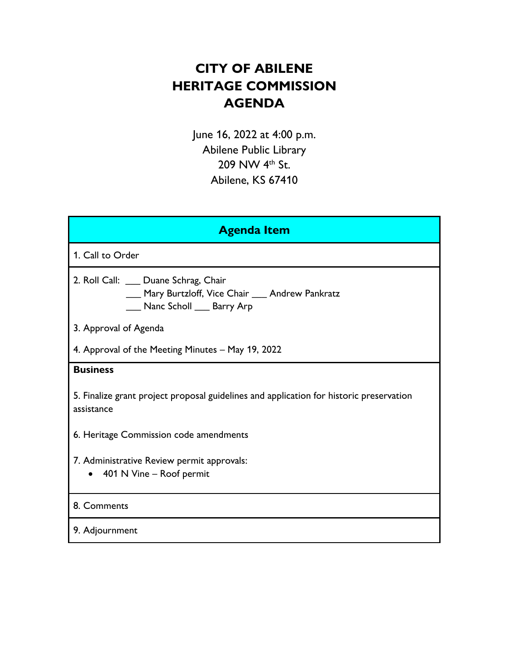# **CITY OF ABILENE HERITAGE COMMISSION AGENDA**

June 16, 2022 at 4:00 p.m. Abilene Public Library 209 NW 4<sup>th</sup> St. Abilene, KS 67410

| <b>Agenda Item</b>                                                                                                           |
|------------------------------------------------------------------------------------------------------------------------------|
| 1. Call to Order                                                                                                             |
| 2. Roll Call: ___ Duane Schrag, Chair<br>___ Mary Burtzloff, Vice Chair ___ Andrew Pankratz<br>___ Nanc Scholl ___ Barry Arp |
| 3. Approval of Agenda                                                                                                        |
| 4. Approval of the Meeting Minutes - May 19, 2022                                                                            |
| <b>Business</b>                                                                                                              |
| 5. Finalize grant project proposal guidelines and application for historic preservation<br>assistance                        |
| 6. Heritage Commission code amendments                                                                                       |
| 7. Administrative Review permit approvals:<br>• 401 N Vine - Roof permit                                                     |
| 8. Comments                                                                                                                  |
| 9. Adjournment                                                                                                               |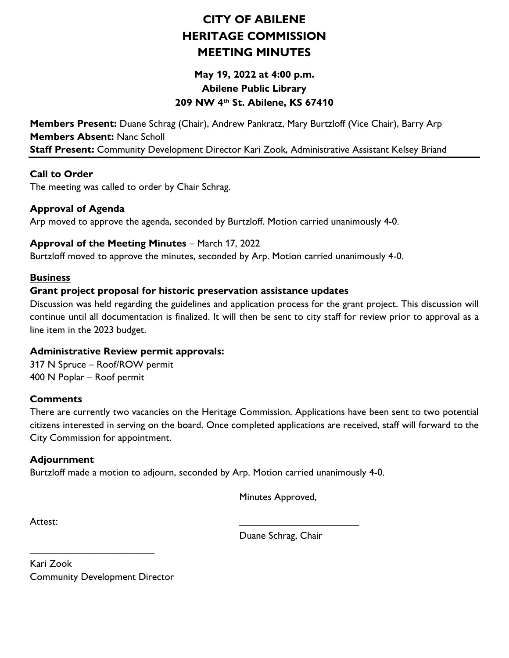## **CITY OF ABILENE HERITAGE COMMISSION MEETING MINUTES**

## **May 19, 2022 at 4:00 p.m. Abilene Public Library 209 NW 4th St. Abilene, KS 67410**

**Members Present:** Duane Schrag (Chair), Andrew Pankratz, Mary Burtzloff (Vice Chair), Barry Arp **Members Absent:** Nanc Scholl **Staff Present:** Community Development Director Kari Zook, Administrative Assistant Kelsey Briand

#### **Call to Order**

The meeting was called to order by Chair Schrag.

#### **Approval of Agenda**

Arp moved to approve the agenda, seconded by Burtzloff. Motion carried unanimously 4-0.

#### **Approval of the Meeting Minutes** – March 17, 2022

Burtzloff moved to approve the minutes, seconded by Arp. Motion carried unanimously 4-0.

#### **Business**

#### **Grant project proposal for historic preservation assistance updates**

Discussion was held regarding the guidelines and application process for the grant project. This discussion will continue until all documentation is finalized. It will then be sent to city staff for review prior to approval as a line item in the 2023 budget.

#### **Administrative Review permit approvals:**

317 N Spruce – Roof/ROW permit 400 N Poplar – Roof permit

#### **Comments**

There are currently two vacancies on the Heritage Commission. Applications have been sent to two potential citizens interested in serving on the board. Once completed applications are received, staff will forward to the City Commission for appointment.

### **Adjournment**

Burtzloff made a motion to adjourn, seconded by Arp. Motion carried unanimously 4-0.

Minutes Approved,

Attest: \_\_\_\_\_\_\_\_\_\_\_\_\_\_\_\_\_\_\_\_\_\_\_\_

Duane Schrag, Chair

Kari Zook Community Development Director

\_\_\_\_\_\_\_\_\_\_\_\_\_\_\_\_\_\_\_\_\_\_\_\_\_